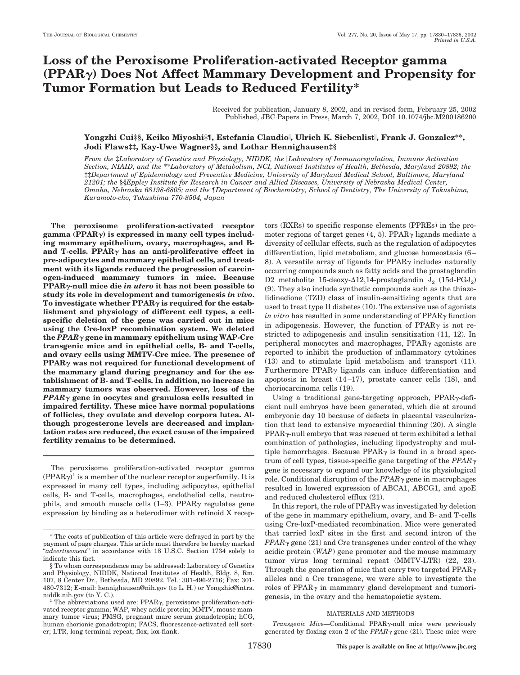# **Loss of the Peroxisome Proliferation-activated Receptor gamma (PPAR) Does Not Affect Mammary Development and Propensity for Tumor Formation but Leads to Reduced Fertility\***

Received for publication, January 8, 2002, and in revised form, February 25, 2002 Published, JBC Papers in Press, March 7, 2002, DOI 10.1074/jbc.M200186200

## **Yongzhi Cui‡§, Keiko Miyoshi‡¶, Estefania Claudio, Ulrich K. Siebenlist, Frank J. Gonzalez\*\*, Jodi Flaws‡‡, Kay-Uwe Wagner§§, and Lothar Hennighausen‡§**

*From the* ‡*Laboratory of Genetics and Physiology, NIDDK, the Laboratory of Immunoregulation, Immune Activation Section, NIAID, and the* \*\**Laboratory of Metabolism, NCI, National Institutes of Health, Bethesda, Maryland 20892; the* ‡‡*Department of Epidemiology and Preventive Medicine, University of Maryland Medical School, Baltimore, Maryland 21201; the* §§*Eppley Institute for Research in Cancer and Allied Diseases, University of Nebraska Medical Center, Omaha, Nebraska 68198-6805; and the* ¶*Department of Biochemistry, School of Dentistry, The University of Tokushima, Kuramoto-cho, Tokushima 770-8504, Japan*

**The peroxisome proliferation-activated receptor gamma (PPAR) is expressed in many cell types including mammary epithelium, ovary, macrophages, and B**and T-cells. PPAR $\gamma$  has an anti-proliferative effect in **pre-adipocytes and mammary epithelial cells, and treatment with its ligands reduced the progression of carcinogen-induced mammary tumors in mice. Because PPAR-null mice die** *in utero* **it has not been possible to study its role in development and tumorigenesis** *in vivo***.** To investigate whether  $PPAR\gamma$  is required for the estab**lishment and physiology of different cell types, a cellspecific deletion of the gene was carried out in mice using the Cre-loxP recombination system. We deleted the** *PPAR* **gene in mammary epithelium using WAP-Cre transgenic mice and in epithelial cells, B- and T-cells, and ovary cells using MMTV-Cre mice. The presence of PPAR was not required for functional development of the mammary gland during pregnancy and for the establishment of B- and T-cells. In addition, no increase in mammary tumors was observed. However, loss of the** *PPAR* **gene in oocytes and granulosa cells resulted in impaired fertility. These mice have normal populations of follicles, they ovulate and develop corpora lutea. Although progesterone levels are decreased and implantation rates are reduced, the exact cause of the impaired fertility remains to be determined.**

The peroxisome proliferation-activated receptor gamma  $(PPAR\gamma)^1$  is a member of the nuclear receptor superfamily. It is expressed in many cell types, including adipocytes, epithelial cells, B- and T-cells, macrophages, endothelial cells, neutrophils, and smooth muscle cells  $(1-3)$ . PPAR $\gamma$  regulates gene expression by binding as a heterodimer with retinoid X receptors (RXRs) to specific response elements (PPREs) in the promoter regions of target genes  $(4, 5)$ . PPAR $\gamma$  ligands mediate a diversity of cellular effects, such as the regulation of adipocytes differentiation, lipid metabolism, and glucose homeostasis (6– 8). A versatile array of ligands for  $PPAR<sub>\gamma</sub>$  includes naturally occurring compounds such as fatty acids and the prostaglandin D2 metabolite 15-deoxy- $\Delta$ 12,14-prostaglandin  $J_2$  (15d-PG $J_2$ ) (9). They also include synthetic compounds such as the thiazolidinedione (TZD) class of insulin-sensitizing agents that are used to treat type II diabetes (10). The extensive use of agonists *in vitro* has resulted in some understanding of  $PPAR<sub>\gamma</sub>$  function in adipogenesis. However, the function of  $PPAR<sub>\gamma</sub>$  is not restricted to adipogenesis and insulin sensitization (11, 12). In peripheral monocytes and macrophages,  $PPAR<sub>\gamma</sub>$  agonists are reported to inhibit the production of inflammatory cytokines (13) and to stimulate lipid metabolism and transport (11). Furthermore  $PPAR<sub>\gamma</sub>$  ligands can induce differentiation and apoptosis in breast (14–17), prostate cancer cells (18), and choriocarcinoma cells (19).

Using a traditional gene-targeting approach,  $PPAR_{\gamma}$ -deficient null embryos have been generated, which die at around embryonic day 10 because of defects in placental vascularization that lead to extensive myocardial thinning (20). A single  $PPAR<sub>Y</sub>-null$  embryo that was rescued at term exhibited a lethal combination of pathologies, including lipodystrophy and multiple hemorrhages. Because  $PPAR\gamma$  is found in a broad spectrum of cell types, tissue-specific gene targeting of the *PPAR* gene is necessary to expand our knowledge of its physiological role. Conditional disruption of the  $PPAR<sub>\gamma</sub>$  gene in macrophages resulted in lowered expression of ABCA1, ABCG1, and apoE and reduced cholesterol efflux (21).

In this report, the role of  $PPAR<sub>\gamma</sub>$  was investigated by deletion of the gene in mammary epithelium, ovary, and B- and T-cells using Cre-loxP-mediated recombination. Mice were generated that carried loxP sites in the first and second intron of the  $PPAR\gamma$  gene (21) and Cre transgenes under control of the whey acidic protein (*WAP*) gene promoter and the mouse mammary tumor virus long terminal repeat (MMTV-LTR) (22, 23). Through the generation of mice that carry two targeted  $PPAR<sub>y</sub>$ alleles and a Cre transgene, we were able to investigate the roles of PPAR $\gamma$  in mammary gland development and tumorigenesis, in the ovary and the hematopoietic system.

### MATERIALS AND METHODS

*Transgenic Mice*—Conditional PPAR<sub>Y</sub>-null mice were previously generated by floxing exon 2 of the  $PPAR<sub>Y</sub>$  gene (21). These mice were

<sup>\*</sup> The costs of publication of this article were defrayed in part by the payment of page charges. This article must therefore be hereby marked "*advertisement*" in accordance with 18 U.S.C. Section 1734 solely to indicate this fact.

<sup>§</sup> To whom correspondence may be addressed: Laboratory of Genetics and Physiology, NIDDK, National Institutes of Health, Bldg. 8, Rm. 107, 8 Center Dr., Bethesda, MD 20892. Tel.: 301-496-2716; Fax: 301- 480-7312; E-mail: hennighausen@nih.gov (to L. H.) or Yongzhic@intra.

niddk.nih.gov (to Y. C.).  $1$  The abbreviations used are: PPAR $\gamma$ , peroxisome proliferation-activated receptor gamma; WAP, whey acidic protein; MMTV, mouse mammary tumor virus; PMSG, pregnant mare serum gonadotropin; hCG, human chorionic gonadotropin; FACS, fluorescence-activated cell sorter; LTR, long terminal repeat; flox, lox-flank.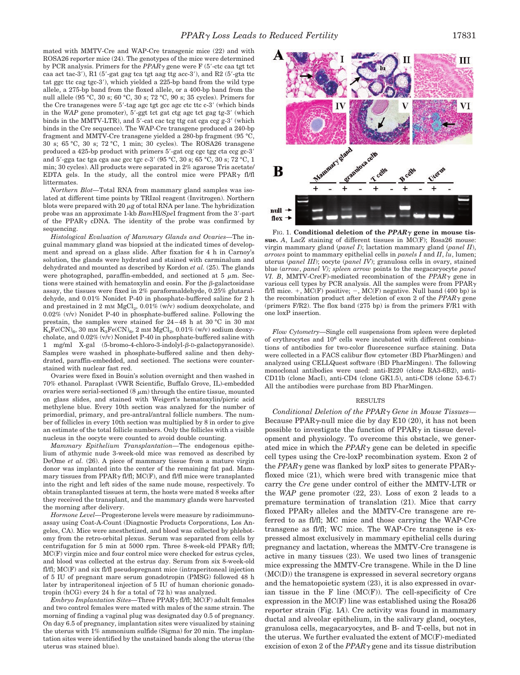mated with MMTV-Cre and WAP-Cre transgenic mice (22) and with ROSA26 reporter mice (24). The genotypes of the mice were determined by PCR analysis. Primers for the  $PPAR\gamma$  gene were F (5'-ctc caa tgt tct) caa act tac-3'), R1  $(5'$ -gat gag tca tgt aag ttg acc-3'), and R2  $(5'$ -gta ttc tat ggc ttc cag tgc-3'), which yielded a 225-bp band from the wild type allele, a 275-bp band from the floxed allele, or a 400-bp band from the null allele (95 °C, 30 s; 60 °C, 30 s; 72 °C, 90 s; 35 cycles). Primers for the Cre transgenes were 5'-tag agc tgt gcc agc ctc ttc c-3' (which binds in the WAP gene promoter), 5'-ggt tct gat ctg agc tct gag tg-3' (which binds in the MMTV-LTR), and 5'-cat cac tcg ttg cat cga ccg g-3' (which binds in the Cre sequence). The WAP-Cre transgene produced a 240-bp fragment and MMTV-Cre transgene yielded a 280-bp fragment (95 °C, 30 s; 65 °C, 30 s; 72 °C, 1 min; 30 cycles). The ROSA26 transgene produced a 425-bp product with primers 5'-gat ccg cgc tgg cta ccg gc-3' and 5'-gga tac tga cga aac gcc tgc c-3' (95 °C, 30 s; 65 °C, 30 s; 72 °C, 1 min; 30 cycles). All products were separated in 2% agarose Tris acetate/ EDTA gels. In the study, all the control mice were  $PPAR\gamma$  fl/fl littermates.

*Northern Blot—*Total RNA from mammary gland samples was isolated at different time points by TRIzol reagent (Invitrogen). Northern blots were prepared with 20  $\mu$ g of total RNA per lane. The hybridization probe was an approximate 1-kb *BamHI/SpeI* fragment from the 3'-part of the PPAR $\gamma$  cDNA. The identity of the probe was confirmed by sequencing.

*Histological Evaluation of Mammary Glands and Ovaries—*The inguinal mammary gland was biopsied at the indicated times of development and spread on a glass slide. After fixation for 4 h in Carnoy's solution, the glands were hydrated and stained with carminalum and dehydrated and mounted as described by Kordon *et al.* (25). The glands were photographed, paraffin-embedded, and sectioned at  $5 \mu m$ . Sections were stained with hematoxylin and eosin. For the  $\beta$ -galactosidase assay, the tissues were fixed in 2% paraformaldehyde, 0.25% glutaraldehyde, and 0.01% Nonidet P-40 in phosphate-buffered saline for 2 h and prestained in 2 mM  $MgCl<sub>2</sub>$ , 0.01% (w/v) sodium deoxycholate, and 0.02% (v/v) Nonidet P-40 in phosphate-buffered saline. Following the prestain, the samples were stained for 24–48 h at 30 °C in 30 mM  $K_4Fe(CN)_6$ , 30 mm  $K_3Fe(CN)_6$ , 2 mm  $MgCl_2$ , 0.01% (w/v) sodium deoxycholate, and 0.02% (v/v) Nonidet P-40 in phosphate-buffered saline with 1 mg/ml X-gal (5-bromo-4-chloro-3-indolyl- $\beta$ -D-galactopyranoside). Samples were washed in phosphate-buffered saline and then dehydrated, paraffin-embedded, and sectioned. The sections were counterstained with nuclear fast red.

Ovaries were fixed in Bouin's solution overnight and then washed in 70% ethanol. Paraplast (VWR Scientific, Buffalo Grove, IL)-embedded ovaries were serial-sectioned  $(8 \mu m)$  through the entire tissue, mounted on glass slides, and stained with Weigert's hematoxylin/picric acid methylene blue. Every 10th section was analyzed for the number of primordial, primary, and pre-antral/antral follicle numbers. The number of follicles in every 10th section was multiplied by 8 in order to give an estimate of the total follicle numbers. Only the follicles with a visible nucleus in the oocyte were counted to avoid double counting.

*Mammary Epithelium Transplantation—*The endogenous epithelium of athymic nude 3-week-old mice was removed as described by DeOme *et al.* (26). A piece of mammary tissue from a mature virgin donor was implanted into the center of the remaining fat pad. Mammary tissues from PPAR $\gamma$  fl/fl; MC(F), and fl/fl mice were transplanted into the right and left sides of the same nude mouse, respectively. To obtain transplanted tissues at term, the hosts were mated 8 weeks after they received the transplant, and the mammary glands were harvested the morning after delivery.

*Hormone Level—*Progesterone levels were measure by radioimmunoassay using Coat-A-Count (Diagnostic Products Corporations, Los Angeles, CA). Mice were anesthetized, and blood was collected by phlebotomy from the retro-orbital plexus. Serum was separated from cells by centrifugation for 5 min at 5000 rpm. Three 8-week-old PPAR $\gamma$  fl/fl; MC(F) virgin mice and four control mice were checked for estrus cycles, and blood was collected at the estrus day. Serum from six 8-week-old fl/fl; MC(F) and six fl/fl pseudopregnant mice (intraperitoneal injection of 5 IU of pregnant mare serum gonadotropin (PMSG) followed 48 h later by intraperitoneal injection of 5 IU of human chorionic gonadotropin (hCG) every 24 h for a total of 72 h) was analyzed.

*Embryo Implantation Sites*—Three PPARγ fl/fl; MC(F) adult females and two control females were mated with males of the same strain. The morning of finding a vaginal plug was designated day 0.5 of pregnancy. On day 6.5 of pregnancy, implantation sites were visualized by staining the uterus with 1% ammonium sulfide (Sigma) for 20 min. The implantation sites were identified by the unstained bands along the uterus (the uterus was stained blue).

FIG. 1. **Conditional deletion of the** *PPAR* **gene in mouse tissue.** *A*, LacZ staining of different tissues in MC(F); Rosa26 mouse: virgin mammary gland (*panel I*); lactation mammary gland (*panel II*), *arrows* point to mammary epithelial cells in *panels I* and *II*, *lu*, lumen; uterus (*panel III*); oocyte (*panel IV*); granulosa cells in ovary, stained blue (*arrow*, *panel V); spleen arrow* points to the megacaryocyte *panel VI. B*, MMTV-Cre(F)-mediated recombination of the *PPAR* gene in various cell types by PCR analysis. All the samples were from  $PPAR<sub>\gamma</sub>$ fl/fl mice. +,  $MC(F)$  positive; -,  $MC(F)$  negative. Null band (400 bp) is the recombination product after deletion of exon 2 of the  $PPAR\gamma$  gene (primers F/R2). The flox band (275 bp) is from the primers F/R1 with one loxP insertion.

*Flow Cytometry—*Single cell suspensions from spleen were depleted of erythrocytes and 106 cells were incubated with different combinations of antibodies for two-color fluorescence surface staining. Data were collected in a FACS calibur flow cytometer (BD PharMingen) and analyzed using CELLQuest software (BD PharMingen). The following monoclonal antibodies were used: anti-B220 (clone RA3-6B2), anti-CD11b (clone MacI), anti-CD4 (clone GK1.5), anti-CD8 (clone 53-6.7) All the antibodies were purchase from BD PharMingen.

#### RESULTS

*Conditional Deletion of the PPAR Gene in Mouse Tissues—* Because PPAR $\gamma$ -null mice die by day E10 (20), it has not been possible to investigate the function of  $PPAR<sub>\gamma</sub>$  in tissue development and physiology. To overcome this obstacle, we generated mice in which the  $PPAR<sub>\gamma</sub>$  gene can be deleted in specific cell types using the Cre-loxP recombination system. Exon 2 of the  $PPAR\gamma$  gene was flanked by loxP sites to generate  $PPAR\gamma$ floxed mice (21), which were bred with transgenic mice that carry the *Cre* gene under control of either the MMTV-LTR or the *WAP* gene promoter (22, 23). Loss of exon 2 leads to a premature termination of translation (21). Mice that carry floxed PPAR $\gamma$  alleles and the MMTV-Cre transgene are referred to as fl/fl; MC mice and those carrying the WAP-Cre transgene as fl/fl; WC mice. The WAP-Cre transgene is expressed almost exclusively in mammary epithelial cells during pregnancy and lactation, whereas the MMTV-Cre transgene is active in many tissues (23). We used two lines of transgenic mice expressing the MMTV-Cre transgene. While in the D line (MC(D)) the transgene is expressed in several secretory organs and the hematopoietic system (23), it is also expressed in ovarian tissue in the F line (MC(F)). The cell-specificity of Cre expression in the MC(F) line was established using the Rosa26 reporter strain (Fig. 1*A*). Cre activity was found in mammary ductal and alveolar epithelium, in the salivary gland, oocytes, granulosa cells, megacaryocytes, and B- and T-cells, but not in the uterus. We further evaluated the extent of MC(F)-mediated excision of exon 2 of the  $PPAR<sub>Y</sub>$  gene and its tissue distribution

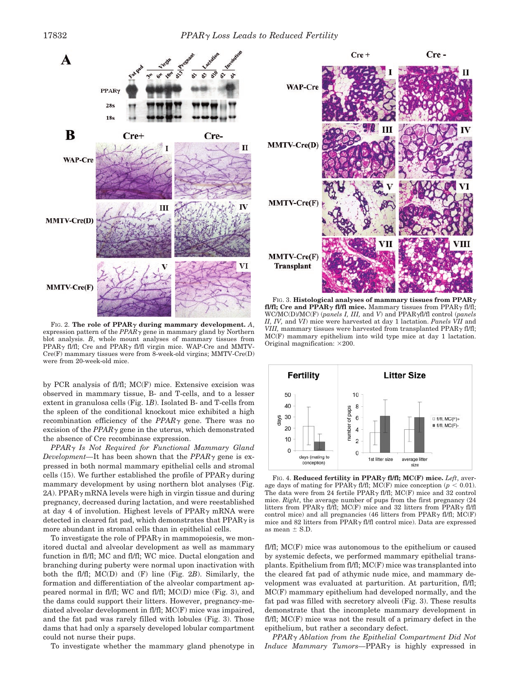

FIG. 2. The role of  $\text{PPAR}_{\gamma}$  during mammary development. A, expression pattern of the  $PPAR\gamma$  gene in mammary gland by Northern blot analysis. *B*, whole mount analyses of mammary tissues from PPAR $\gamma$  fl/fl; Cre and PPAR $\gamma$  fl/fl virgin mice. WAP-Cre and MMTV-Cre(F) mammary tissues were from 8-week-old virgins; MMTV-Cre(D) were from 20-week-old mice.

by PCR analysis of fl/fl; MC(F) mice. Extensive excision was observed in mammary tissue, B- and T-cells, and to a lesser extent in granulosa cells (Fig. 1*B*). Isolated B- and T-cells from the spleen of the conditional knockout mice exhibited a high recombination efficiency of the  $PPAR<sub>Y</sub>$  gene. There was no excision of the  $PPAR<sub>Y</sub>$  gene in the uterus, which demonstrated the absence of Cre recombinase expression.

*PPAR Is Not Required for Functional Mammary Gland Development*—It has been shown that the  $PPAR<sub>Y</sub>$  gene is expressed in both normal mammary epithelial cells and stromal cells (15). We further established the profile of PPAR $\gamma$  during mammary development by using northern blot analyses (Fig.  $2A$ ). PPAR $\gamma$  mRNA levels were high in virgin tissue and during pregnancy, decreased during lactation, and were reestablished at day 4 of involution. Highest levels of  $PPAR<sub>y</sub>$  mRNA were detected in cleared fat pad, which demonstrates that  $PPAR<sub>\gamma</sub>$  is more abundant in stromal cells than in epithelial cells.

To investigate the role of  $PPAR\gamma$  in mammopoiesis, we monitored ductal and alveolar development as well as mammary function in fl/fl; MC and fl/fl; WC mice. Ductal elongation and branching during puberty were normal upon inactivation with both the fl/fl; MC(D) and (F) line (Fig. 2*B*). Similarly, the formation and differentiation of the alveolar compartment appeared normal in fl/fl; WC and fl/fl; MC(D) mice (Fig. 3), and the dams could support their litters. However, pregnancy-mediated alveolar development in fl/fl; MC(F) mice was impaired, and the fat pad was rarely filled with lobules (Fig. 3). Those dams that had only a sparsely developed lobular compartment could not nurse their pups.

To investigate whether the mammary gland phenotype in



FIG. 3. **Histological analyses of mammary tissues from PPAR fl/fl; Cre and PPAR** $\gamma$  **fl/fl mice.** Mammary tissues from PPAR $\gamma$  fl/fl; WC/MC(D)/MC(F) (*panels I, III,* and *V*) and PPARfl/fl control (*panels II, IV,* and *VI*) mice were harvested at day 1 lactation. *Panels VII* and *VIII*, mammary tissues were harvested from transplanted PPAR $\gamma$  fl/fl; MC(F) mammary epithelium into wild type mice at day 1 lactation. Original magnification:  $\times 200$ .



FIG. 4. **Reduced fertility in PPAR fl/fl; MC(F) mice.** *Left*, average days of mating for PPAR $\gamma$  fl/fl; MC(F) mice conception ( $p < 0.01$ ). The data were from 24 fertile PPAR $\gamma$  fl/fl; MC(F) mice and 32 control mice. *Right*, the average number of pups from the first pregnancy (24 litters from PPAR $\gamma$  fl/fl; MC(F) mice and 32 litters from PPAR $\gamma$  fl/fl control mice) and all pregnancies (46 litters from PPAR $\gamma$  fl/fl; MC(F) mice and 82 litters from PPAR $\gamma$  fl/fl control mice). Data are expressed as mean  $\pm$  S.D.

fl/fl; MC(F) mice was autonomous to the epithelium or caused by systemic defects, we performed mammary epithelial transplants. Epithelium from fl/fl; MC(F) mice was transplanted into the cleared fat pad of athymic nude mice, and mammary development was evaluated at parturition. At parturition, fl/fl; MC(F) mammary epithelium had developed normally, and the fat pad was filled with secretory alveoli (Fig. 3). These results demonstrate that the incomplete mammary development in fl/fl; MC(F) mice was not the result of a primary defect in the epithelium, but rather a secondary defect.

*PPAR Ablation from the Epithelial Compartment Did Not Induce Mammary Tumors*—PPAR<sub>Y</sub> is highly expressed in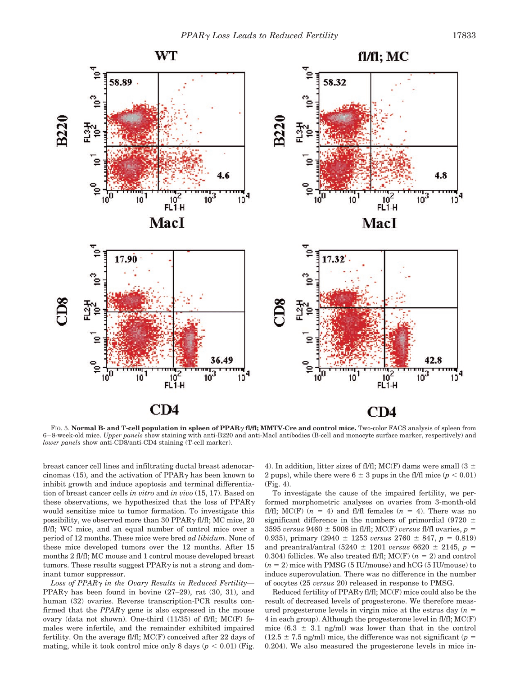

FIG. 5. **Normal B- and T-cell population in spleen of PPAR fl/fl; MMTV-Cre and control mice.** Two-color FACS analysis of spleen from 6–8-week-old mice. *Upper panels* show staining with anti-B220 and anti-MacI antibodies (B-cell and monocyte surface marker, respectively) and *lower panels* show anti-CD8/anti-CD4 staining (T-cell marker).

breast cancer cell lines and infiltrating ductal breast adenocarcinomas (15), and the activation of  $PPAR<sub>\gamma</sub>$  has been known to inhibit growth and induce apoptosis and terminal differentiation of breast cancer cells *in vitro* and *in vivo* (15, 17). Based on these observations, we hypothesized that the loss of  $PPAR<sub>y</sub>$ would sensitize mice to tumor formation. To investigate this possibility, we observed more than 30 PPAR $\gamma$  fl/fl; MC mice, 20 fl/fl; WC mice, and an equal number of control mice over a period of 12 months. These mice were bred *ad libidum*. None of these mice developed tumors over the 12 months. After 15 months 2 fl/fl; MC mouse and 1 control mouse developed breast tumors. These results suggest  $PPAR<sub>\gamma</sub>$  is not a strong and dominant tumor suppressor.

*Loss of PPAR in the Ovary Results in Reduced Fertility—* PPAR $\nu$  has been found in bovine (27–29), rat (30, 31), and human (32) ovaries. Reverse transcription-PCR results confirmed that the  $PPAR<sub>\gamma</sub>$  gene is also expressed in the mouse ovary (data not shown). One-third (11/35) of fl/fl; MC(F) females were infertile, and the remainder exhibited impaired fertility. On the average fl/fl; MC(F) conceived after 22 days of mating, while it took control mice only 8 days ( $p < 0.01$ ) (Fig.

4). In addition, litter sizes of fl/fl; MC(F) dams were small (3  $\pm$ 2 pups), while there were  $6 \pm 3$  pups in the fl/fl mice ( $p < 0.01$ ) (Fig. 4).

To investigate the cause of the impaired fertility, we performed morphometric analyses on ovaries from 3-month-old fl/fl; MC(F)  $(n = 4)$  and fl/fl females  $(n = 4)$ . There was no significant difference in the numbers of primordial (9720  $\pm$  $3595 \text{ versus } 9460 \pm 5008 \text{ in fl/fl}; \text{MC}(F) \text{ versus fl/fl} \text{ ovaries}, p =$ 0.935), primary  $(2940 \pm 1253 \text{ versus } 2760 \pm 847, p = 0.819)$ and preantral/antral  $(5240 \pm 1201 \text{ versus } 6620 \pm 2145, p =$ 0.304) follicles. We also treated fl/fl;  $MC(F)$   $(n = 2)$  and control  $(n = 2)$  mice with PMSG (5 IU/mouse) and hCG (5 IU/mouse) to induce superovulation. There was no difference in the number of oocytes (25 *versus* 20) released in response to PMSG.

Reduced fertility of PPAR $\gamma$  fl/fl; MC(F) mice could also be the result of decreased levels of progesterone. We therefore measured progesterone levels in virgin mice at the estrus day  $(n =$ 4 in each group). Although the progesterone level in fl/fl; MC(F) mice  $(6.3 \pm 3.1 \text{ ng/ml})$  was lower than that in the control  $(12.5 \pm 7.5 \text{ ng/ml})$  mice, the difference was not significant (*p* = 0.204). We also measured the progesterone levels in mice in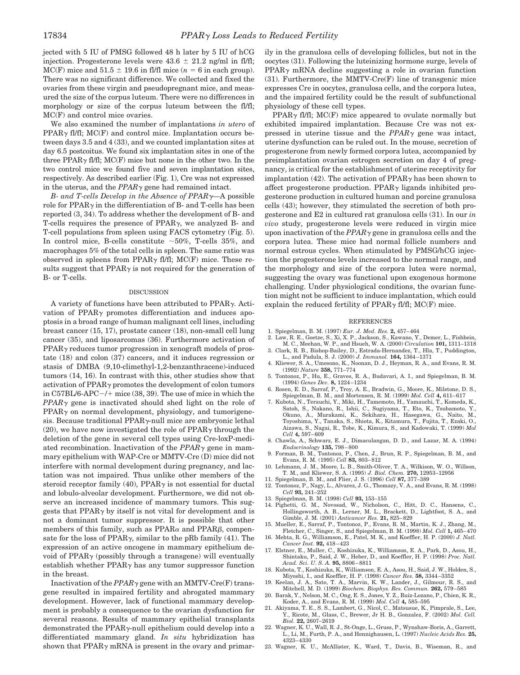jected with 5 IU of PMSG followed 48 h later by 5 IU of hCG injection. Progesterone levels were  $43.6 \pm 21.2$  ng/ml in fl/fl; MC(F) mice and  $51.5 \pm 19.6$  in fl/fl mice ( $n = 6$  in each group). There was no significant difference. We collected and fixed the ovaries from these virgin and pseudopregnant mice, and measured the size of the corpus luteum. There were no differences in morphology or size of the corpus luteum between the fl/fl; MC(F) and control mice ovaries.

We also examined the number of implantations *in utero* of  $PPAR\gamma$  fl/fl; MC(F) and control mice. Implantation occurs between days 3.5 and 4 (33), and we counted implantation sites at day 6.5 postcoitus. We found six implantation sites in one of the three PPAR $\gamma$  fl/fl; MC(F) mice but none in the other two. In the two control mice we found five and seven implantation sites, respectively. As described earlier (Fig. 1), Cre was not expressed in the uterus, and the  $PPAR\gamma$  gene had remained intact.

*B- and T-cells Develop in the Absence of PPAR—*A possible role for  $PPAR\gamma$  in the differentiation of B- and T-cells has been reported (3, 34). To address whether the development of B- and T-cells requires the presence of  $PPAR<sub>\gamma</sub>$ , we analyzed B- and T-cell populations from spleen using FACS cytometry (Fig. 5). In control mice, B-cells constitute  $\sim$  50%, T-cells 35%, and macrophages 5% of the total cells in spleen. The same ratio was observed in spleens from PPAR $\gamma$  fl/fl; MC(F) mice. These results suggest that  $PPAR\gamma$  is not required for the generation of B- or T-cells.

#### DISCUSSION

A variety of functions have been attributed to  $PPAR<sub>\gamma</sub>$ . Activation of PPAR $\gamma$  promotes differentiation and induces apoptosis in a broad range of human malignant cell lines, including breast cancer (15, 17), prostate cancer (18), non-small cell lung cancer (35), and liposarcomas (36). Furthermore activation of  $PPAR<sub>\gamma</sub>$  reduces tumor progression in xenograft models of prostate (18) and colon (37) cancers, and it induces regression or stasis of DMBA (9,10-climethyl-1,2-benzanthracene)-induced tumors (14, 16). In contrast with this, other studies show that activation of  $PPAR<sub>Y</sub>$  promotes the development of colon tumors in C57BL/6-APC $-$ /+ mice (38, 39). The use of mice in which the  $PPAR<sub>Y</sub>$  gene is inactivated should shed light on the role of  $PPAR<sub>Y</sub>$  on normal development, physiology, and tumorigenesis. Because traditional PPAR $\gamma$ -null mice are embryonic lethal (20), we have now investigated the role of  $PPAR<sub>\gamma</sub>$  through the deletion of the gene in several cell types using Cre-loxP-mediated recombination. Inactivation of the  $PPAR<sub>\gamma</sub>$  gene in mammary epithelium with WAP-Cre or MMTV-Cre (D) mice did not interfere with normal development during pregnancy, and lactation was not impaired. Thus unlike other members of the steroid receptor family (40), PPAR $\gamma$  is not essential for ductal and lobulo-alveolar development. Furthermore, we did not observe an increased incidence of mammary tumors. This suggests that  $PPAR<sub>\gamma</sub>$  by itself is not vital for development and is not a dominant tumor suppressor. It is possible that other members of this family, such as  $PPAR\alpha$  and  $PPAR\beta$ , compensate for the loss of PPAR $\gamma$ , similar to the pRb family (41). The expression of an active oncogene in mammary epithelium devoid of  $PPAR<sub>y</sub>$  (possibly through a transgene) will eventually establish whether  $PPAR<sub>\gamma</sub>$  has any tumor suppressor function in the breast.

Inactivation of the  $PPAR\gamma$  gene with an MMTV-Cre(F) transgene resulted in impaired fertility and abrogated mammary development. However, lack of functional mammary development is probably a consequence to the ovarian dysfunction for several reasons. Results of mammary epithelial transplants demonstrated the PPAR $\gamma$ -null epithelium could develop into a differentiated mammary gland. *In situ* hybridization has shown that  $PPAR<sub>\gamma</sub>$  mRNA is present in the ovary and primarily in the granulosa cells of developing follicles, but not in the oocytes (31). Following the luteinizing hormone surge, levels of  $PPAR<sub>\gamma</sub>$  mRNA decline suggesting a role in ovarian function (31). Furthermore, the MMTV-Cre(F) line of transgenic mice expresses Cre in oocytes, granulosa cells, and the corpora lutea, and the impaired fertility could be the result of subfunctional physiology of these cell types.

PPAR $\gamma$  fl/fl; MC(F) mice appeared to ovulate normally but exhibited impaired implantation. Because Cre was not expressed in uterine tissue and the  $PPAR\gamma$  gene was intact, uterine dysfunction can be ruled out. In the mouse, secretion of progesterone from newly formed corpora lutea, accompanied by preimplantation ovarian estrogen secretion on day 4 of pregnancy, is critical for the establishment of uterine receptivity for implantation (42). The activation of  $PPAR<sub>\gamma</sub>$  has been shown to affect progesterone production. PPAR $\gamma$  ligands inhibited progesterone production in cultured human and porcine granulosa cells (43); however, they stimulated the secretion of both progesterone and E2 in cultured rat granulosa cells (31). In our *in vivo* study, progesterone levels were reduced in virgin mice upon inactivation of the  $PPAR\gamma$  gene in granulosa cells and the corpora lutea. These mice had normal follicle numbers and normal estrous cycles. When stimulated by PMSG/hCG injection the progesterone levels increased to the normal range, and the morphology and size of the corpora lutea were normal, suggesting the ovary was functional upon exogenous hormone challenging. Under physiological conditions, the ovarian function might not be sufficient to induce implantation, which could explain the reduced fertility of PPAR $\gamma$  fl/fl; MC(F) mice.

#### REFERENCES

- 1. Spiegelman, B. M. (1997) *Eur. J. Med. Res.* **2,** 457–464
- 2. Law, R. E., Goetze, S., Xi, X. P., Jackson, S., Kawano, Y., Demer, L., Fishbein, M. C., Meehan, W. P., and Hsueh, W. A. (2000) *Circulation* **101,** 1311–1318 3. Clark, R. B., Bishop-Bailey, D., Estrada-Hernandez, T., Hla, T., Puddington,
- L., and Padula, S. J. (2000) *J. Immunol.* **164,** 1364–1371 4. Kliewer, S. A., Umesono, K., Noonan, D. J., Heyman, R. A., and Evans, R. M.
- (1992) *Nature* **358,** 771–774 5. Tontonoz, P., Hu, E., Graves, R. A., Budavari, A. I., and Spiegelman, B. M. (1994) *Genes Dev.* **8,** 1224–1234
- 6. Rosen, E. D., Sarraf, P., Troy, A. E., Bradwin, G., Moore, K., Milstone, D. S., Spiegelman, B. M., and Mortensen, R. M. (1999) *Mol. Cell* **4,** 611–617
- 7. Kubota, N., Terauchi, Y., Miki, H., Tamemoto, H., Yamauchi, T., Komeda, K., Satoh, S., Nakano, R., Ishii, C., Sugiyama, T., Eto, K., Tsubamoto, Y., Okuno, A., Murakami, K., Sekihara, H., Hasegawa, G., Naito, M., Toyoshima, Y., Tanaka, S., Shiota, K., Kitamura, T., Fujita, T., Ezaki, O., Aizawa, S., Nagai, R., Tobe, K., Kimura, S., and Kadowaki, T. (1999) *Mol Cell* **4,** 597–609
- 8. Chawla, A., Schwarz, E. J., Dimaculangan, D. D., and Lazar, M. A. (1994) *Endocrinology* **135,** 798–800
- 9. Forman, B. M., Tontonoz, P., Chen, J., Brun, R. P., Spiegelman, B. M., and Evans, R. M. (1995) *Cell* **83,** 803–812
- 10. Lehmann, J. M., Moore, L. B., Smith-Oliver, T. A., Wilkison, W. O., Willson, T. M., and Kliewer, S. A. (1995) *J. Biol. Chem.* **270,** 12953–12956
- 11. Spiegelman, B. M., and Flier, J. S. (1996) *Cell* **87,** 377–389
- 12. Tontonoz, P., Nagy, L., Alvarez, J. G., Thomazy, V. A., and Evans, R. M. (1998) *Cell* **93,** 241–252
- 13. Spiegelman, B. M. (1998) *Cell* **93,** 153–155
- 14. Pighetti, G. M., Novosad, W., Nicholson, C., Hitt, D. C., Hansens, C., Hollingsworth, A. B., Lerner, M. L., Brackett, D., Lightfoot, S. A., and Gimble, J. M. (2001) *Anticancer Res.* **21,** 825–829
- 15. Mueller, E., Sarraf, P., Tontonoz, P., Evans, R. M., Martin, K. J., Zhang, M., Fletcher, C., Singer, S., and Spiegelman, B. M. (1998) *Mol. Cell* **1,** 465–470
- 16. Mehta, R. G., Williamson, E., Patel, M. K., and Koeffler, H. P. (2000) *J. Natl. Cancer Inst.* **92,** 418–423
- 17. Elstner, E., Muller, C., Koshizuka, K., Williamson, E. A., Park, D., Asou, H., Shintaku, P., Said, J. W., Heber, D., and Koeffler, H. P. (1998) *Proc. Natl. Acad. Sci. U. S. A.* **95,** 8806–8811
- 18. Kubota, T., Koshizuka, K., Williamson, E. A., Asou, H., Said, J. W., Holden, S., Miyoshi, I., and Koeffler, H. P. (1998) *Cancer Res.* **58,** 3344–3352
- 19. Keelan, J. A., Sato, T. A., Marvin, K. W., Lander, J., Gilmour, R. S., and Mitchell, M. D. (1999) *Biochem. Biophys. Res. Commun.* **262,** 579–585
- 20. Barak, Y., Nelson, M. C., Ong, E. S., Jones, Y. Z., Ruiz-Lozano, P., Chien, K. R., Koder, A., and Evans, R. M. (1999) *Mol. Cell* **4,** 585–595
- 21. Akiyama, T. E., S. S., Lambert, G., Nicol, C., Matsusue, K., Pimprale, S., Lee, Y., Ricote, M., Glass, C., Brewer, Jr H. B., Gonzalez, F. (2002) *Mol. Cell. Biol.* **22,** 2607–2619
- 22. Wagner, K. U., Wall, R. J., St-Onge, L., Gruss, P., Wynshaw-Boris, A., Garrett, L., Li, M., Furth, P. A., and Hennighausen, L. (1997) *Nucleic Acids Res.* **25,** 4323–4330
- 23. Wagner, K. U., McAllister, K., Ward, T., Davis, B., Wiseman, R., and